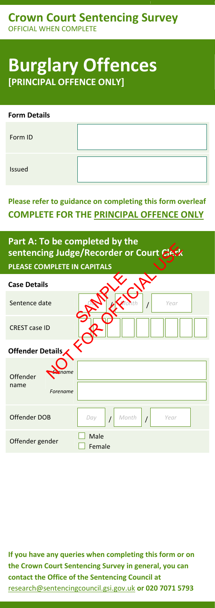# **Burglary Offences [PRINCIPAL OFFENCE ONLY]**

| <b>Form Details</b> |  |
|---------------------|--|
| Form ID             |  |
| Issued              |  |

### **Please refer to guidance on completing this form overleaf COMPLETE FOR THE PRINCIPAL OFFENCE ONLY**

## **Part A: To be completed by the sentencing Judge/Recorder or Court Clerk PLEASE COMPLETE IN CAPITALS**

| $\frac{1}{2}$ and $\frac{1}{2}$ are completed by the<br>sentencing Judge/Recorder or Court Clerk |                                        |  |  |  |
|--------------------------------------------------------------------------------------------------|----------------------------------------|--|--|--|
| PLEASE COMPLETE IN CAPITALS                                                                      |                                        |  |  |  |
| <b>Case Details</b>                                                                              |                                        |  |  |  |
| Sentence date                                                                                    | Year                                   |  |  |  |
| <b>CREST case ID</b>                                                                             |                                        |  |  |  |
| Offender Details                                                                                 |                                        |  |  |  |
| ame<br>Offender<br>name<br>Forename                                                              |                                        |  |  |  |
|                                                                                                  |                                        |  |  |  |
| Offender DOB                                                                                     | Month<br>Day<br>Year<br>$\overline{1}$ |  |  |  |
| Offender gender                                                                                  | Male<br>Female                         |  |  |  |

**If you have any queries when completing this form or on the Crown Court Sentencing Survey in general, you can contact the Office of the Sentencing Council at** [research@sentencingcouncil.gsi.gov.uk](mailto:research@sentencingcouncil.gsi.gov.uk) **or 020 7071 5793**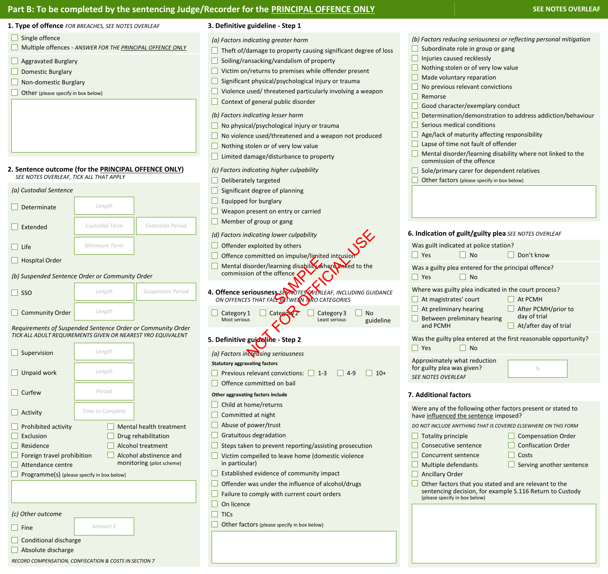## **Part B: To be completed by the sentencing Judge/Recorder for the <b>PRINCIPAL OFFENCE ONLY SEE ROLY** SEE NOTES OVERLEAF

| 1. Type of offence FOR BREACHES, SEE NOTES OVERLEAF                                                                                                                                                                                                                                                                                                   | 3. Definitive guideline - Step 1                                                                                                                                                                                                                                                                                                                                                                            |                                                                                                                                                                                                                                                                                                                                                                                                                                           |
|-------------------------------------------------------------------------------------------------------------------------------------------------------------------------------------------------------------------------------------------------------------------------------------------------------------------------------------------------------|-------------------------------------------------------------------------------------------------------------------------------------------------------------------------------------------------------------------------------------------------------------------------------------------------------------------------------------------------------------------------------------------------------------|-------------------------------------------------------------------------------------------------------------------------------------------------------------------------------------------------------------------------------------------------------------------------------------------------------------------------------------------------------------------------------------------------------------------------------------------|
| $\Box$ Single offence<br>Multiple offences - ANSWER FOR THE PRINCIPAL OFFENCE ONLY<br>Aggravated Burglary<br>Domestic Burglary<br>Non-domestic Burglary<br>Other (please specify in box below)                                                                                                                                                        | (a) Factors indicating greater harm<br>Theft of/damage to property causing significant degree of loss<br>Soiling/ransacking/vandalism of property<br>Victim on/returns to premises while offender present<br>Significant physical/psychological injury or trauma<br>Violence used/threatened particularly involving a weapon<br>Context of general public disorder                                          | (b) Factors reducing seriousness or reflecting personal mitigation<br>Subordinate role in group or gang<br>Injuries caused recklessly<br>Nothing stolen or of very low value<br>Made voluntary reparation<br>No previous relevant convictions<br>Remorse<br>Good character/exemplary conduct                                                                                                                                              |
| 2. Sentence outcome (for the PRINCIPAL OFFENCE ONLY)<br>SEE NOTES OVERLEAF, TICK ALL THAT APPLY                                                                                                                                                                                                                                                       | (b) Factors indicating lesser harm<br>No physical/psychological injury or trauma<br>No violence used/threatened and a weapon not produced<br>Nothing stolen or of very low value<br>Limited damage/disturbance to property<br>(c) Factors indicating higher culpability<br>Deliberately targeted                                                                                                            | Determination/demonstration to address addiction/behaviour<br>Serious medical conditions<br>Age/lack of maturity affecting responsibility<br>Lapse of time not fault of offender<br>Mental disorder/learning disability where not linked to the<br>commission of the offence<br>Sole/primary carer for dependent relatives<br>Other factors (please specify in box below)                                                                 |
| (a) Custodial Sentence                                                                                                                                                                                                                                                                                                                                | Significant degree of planning                                                                                                                                                                                                                                                                                                                                                                              |                                                                                                                                                                                                                                                                                                                                                                                                                                           |
| Length<br>$\Box$ Determinate                                                                                                                                                                                                                                                                                                                          | Equipped for burglary<br>Weapon present on entry or carried                                                                                                                                                                                                                                                                                                                                                 |                                                                                                                                                                                                                                                                                                                                                                                                                                           |
| <b>Custodial Term</b><br><b>Extension Period</b><br>$\Box$ Extended                                                                                                                                                                                                                                                                                   | Member of group or gang                                                                                                                                                                                                                                                                                                                                                                                     |                                                                                                                                                                                                                                                                                                                                                                                                                                           |
| Minimum Term<br>$\Box$ Life                                                                                                                                                                                                                                                                                                                           | (d) Factors indicating lower culpability<br>Offender exploited by others                                                                                                                                                                                                                                                                                                                                    | 6. Indication of guilt/guilty plea SEE NOTES OVERLEAF<br>Was guilt indicated at police station?<br>$\Box$ Yes<br>$\Box$ No<br>$\Box$ Don't know                                                                                                                                                                                                                                                                                           |
| $\Box$ Hospital Order                                                                                                                                                                                                                                                                                                                                 | Offence committed on impulse/limited intrusion<br>Mental disorder/learning disability where miked to the                                                                                                                                                                                                                                                                                                    |                                                                                                                                                                                                                                                                                                                                                                                                                                           |
| (b) Suspended Sentence Order or Community Order                                                                                                                                                                                                                                                                                                       | commission of the offence                                                                                                                                                                                                                                                                                                                                                                                   | Was a guilty plea entered for the principal offence?<br>$\Box$ Yes<br>$\Box$ No                                                                                                                                                                                                                                                                                                                                                           |
| <b>Suspension Period</b><br>Length<br>$\Box$ SSO                                                                                                                                                                                                                                                                                                      | 4. Offence seriousness Secretary OVERLEAF, INCLUDING GUIDANCE<br>ON OFFENCES THAT FALL BITWEEN TWO CATEGORIES                                                                                                                                                                                                                                                                                               | Where was guilty plea indicated in the court process?<br>At magistrates' court<br>$\Box$ At PCMH                                                                                                                                                                                                                                                                                                                                          |
| Length<br>Community Order                                                                                                                                                                                                                                                                                                                             | Category <sub>Z</sub><br>Category 3<br>Category 1<br>No<br>Most serious<br>Least serious<br>guideline                                                                                                                                                                                                                                                                                                       | At preliminary hearing<br>After PCMH/prior to<br>day of trial<br>Between preliminary hearing<br>and PCMH                                                                                                                                                                                                                                                                                                                                  |
| Requirements of Suspended Sentence Order or Community Order<br>TICK ALL ADULT REQUIREMENTS GIVEN OR NEAREST YRO EQUIVALENT                                                                                                                                                                                                                            | 5. Definitive guideline - Step 2                                                                                                                                                                                                                                                                                                                                                                            | $\Box$ At/after day of trial<br>Was the guilty plea entered at the first reasonable opportunity?                                                                                                                                                                                                                                                                                                                                          |
| Length<br>$\Box$ Supervision                                                                                                                                                                                                                                                                                                                          | (a) Factors increasing seriousness<br><b>Statutory aggravating factors</b>                                                                                                                                                                                                                                                                                                                                  | $\Box$ No<br>$\Box$ Yes<br>Approximately what reduction                                                                                                                                                                                                                                                                                                                                                                                   |
| Length<br>$\Box$ Unpaid work                                                                                                                                                                                                                                                                                                                          | Previous relevant convictions:<br>$1 - 3$<br>$\vert$ 4-9<br>$10+$<br>Offence committed on bail                                                                                                                                                                                                                                                                                                              | for guilty plea was given?<br>%<br><b>SEE NOTES OVERLEAF</b>                                                                                                                                                                                                                                                                                                                                                                              |
| Period<br>$\Box$ Curfew                                                                                                                                                                                                                                                                                                                               | Other aggravating factors include                                                                                                                                                                                                                                                                                                                                                                           | 7. Additional factors                                                                                                                                                                                                                                                                                                                                                                                                                     |
| Time to Complete<br>$\Box$ Activity                                                                                                                                                                                                                                                                                                                   | Child at home/returns<br>Committed at night                                                                                                                                                                                                                                                                                                                                                                 | Were any of the following other factors present or stated to<br>have influenced the sentence imposed?                                                                                                                                                                                                                                                                                                                                     |
| Prohibited activity<br>Mental health treatment<br>Drug rehabilitation<br>Exclusion<br>Residence<br>Alcohol treatment<br>Alcohol abstinence and<br>Foreign travel prohibition<br>monitoring (pilot scheme)<br>Attendance centre<br>Programme(s) (please specify in box below)<br>(c) Other outcome<br>Amount £<br>$\Box$ Fine<br>Conditional discharge | Abuse of power/trust<br>Gratuitous degradation<br>Steps taken to prevent reporting/assisting prosecution<br>Victim compelled to leave home (domestic violence<br>in particular)<br>Established evidence of community impact<br>Offender was under the influence of alcohol/drugs<br>Failure to comply with current court orders<br>On licence<br><b>TICs</b><br>Other factors (please specify in box below) | DO NOT INCLUDE ANYTHING THAT IS COVERED ELSEWHERE ON THIS FORM<br><b>Compensation Order</b><br>Totality principle<br>Consecutive sentence<br><b>Confiscation Order</b><br>Concurrent sentence<br>Costs<br>Multiple defendants<br>Serving another sentence<br><b>Ancillary Order</b><br>Other factors that you stated and are relevant to the<br>sentencing decision, for example S.116 Return to Custody<br>(please specify in box below) |
| $\Box$ Absolute discharge                                                                                                                                                                                                                                                                                                                             |                                                                                                                                                                                                                                                                                                                                                                                                             |                                                                                                                                                                                                                                                                                                                                                                                                                                           |
| RECORD COMPENSATION, CONFISCATION & COSTS IN SECTION 7                                                                                                                                                                                                                                                                                                |                                                                                                                                                                                                                                                                                                                                                                                                             |                                                                                                                                                                                                                                                                                                                                                                                                                                           |